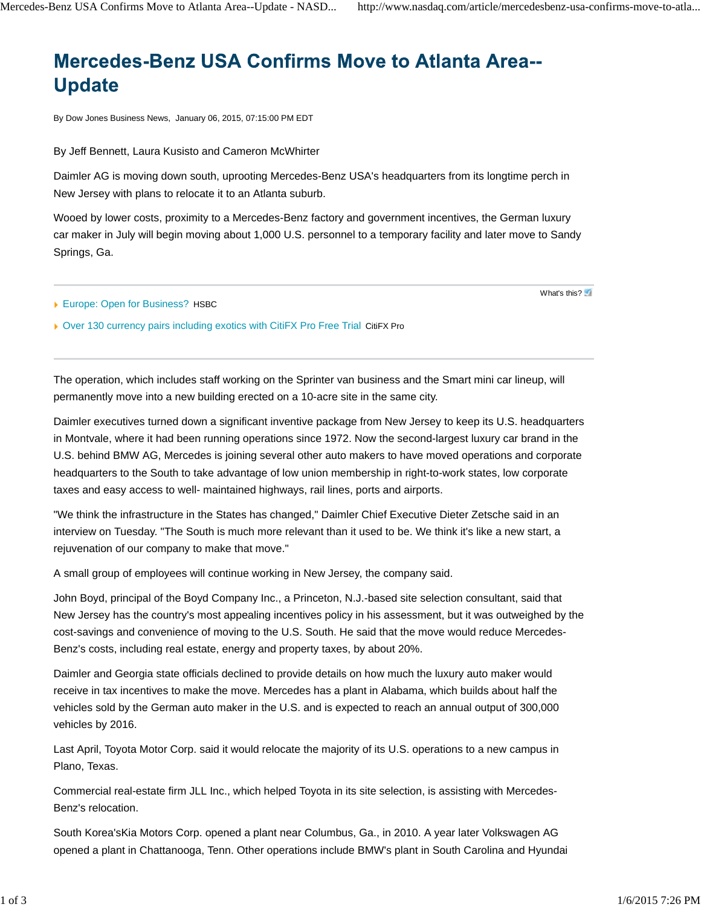## **Mercedes-Benz USA Confirms Move to Atlanta Area--Update**

By Dow Jones Business News, January 06, 2015, 07:15:00 PM EDT

By Jeff Bennett, Laura Kusisto and Cameron McWhirter

Daimler AG is moving down south, uprooting Mercedes-Benz USA's headquarters from its longtime perch in New Jersey with plans to relocate it to an Atlanta suburb.

Wooed by lower costs, proximity to a Mercedes-Benz factory and government incentives, the German luxury car maker in July will begin moving about 1,000 U.S. personnel to a temporary facility and later move to Sandy Springs, Ga.

Europe: Open for Business? HSBC

What's this?

▶ Over 130 currency pairs including exotics with CitiFX Pro Free Trial CitiFX Pro

The operation, which includes staff working on the Sprinter van business and the Smart mini car lineup, will permanently move into a new building erected on a 10-acre site in the same city.

Daimler executives turned down a significant inventive package from New Jersey to keep its U.S. headquarters in Montvale, where it had been running operations since 1972. Now the second-largest luxury car brand in the U.S. behind BMW AG, Mercedes is joining several other auto makers to have moved operations and corporate headquarters to the South to take advantage of low union membership in right-to-work states, low corporate taxes and easy access to well- maintained highways, rail lines, ports and airports.

"We think the infrastructure in the States has changed," Daimler Chief Executive Dieter Zetsche said in an interview on Tuesday. "The South is much more relevant than it used to be. We think it's like a new start, a rejuvenation of our company to make that move."

A small group of employees will continue working in New Jersey, the company said.

John Boyd, principal of the Boyd Company Inc., a Princeton, N.J.-based site selection consultant, said that New Jersey has the country's most appealing incentives policy in his assessment, but it was outweighed by the cost-savings and convenience of moving to the U.S. South. He said that the move would reduce Mercedes-Benz's costs, including real estate, energy and property taxes, by about 20%.

Daimler and Georgia state officials declined to provide details on how much the luxury auto maker would receive in tax incentives to make the move. Mercedes has a plant in Alabama, which builds about half the vehicles sold by the German auto maker in the U.S. and is expected to reach an annual output of 300,000 vehicles by 2016.

Last April, Toyota Motor Corp. said it would relocate the majority of its U.S. operations to a new campus in Plano, Texas.

Commercial real-estate firm JLL Inc., which helped Toyota in its site selection, is assisting with Mercedes-Benz's relocation.

South Korea'sKia Motors Corp. opened a plant near Columbus, Ga., in 2010. A year later Volkswagen AG opened a plant in Chattanooga, Tenn. Other operations include BMW's plant in South Carolina and Hyundai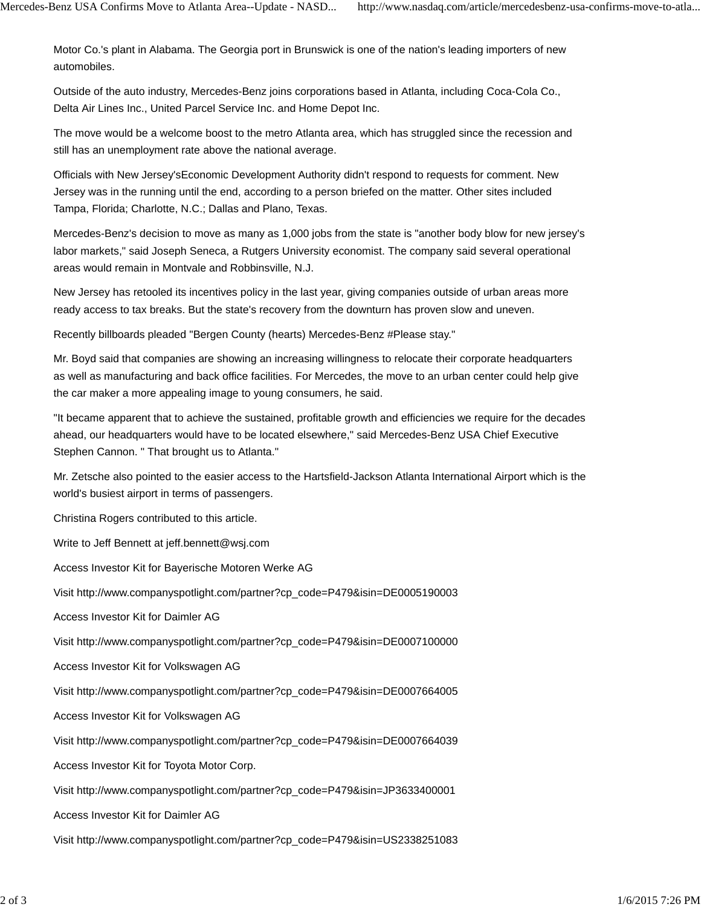Motor Co.'s plant in Alabama. The Georgia port in Brunswick is one of the nation's leading importers of new automobiles.

Outside of the auto industry, Mercedes-Benz joins corporations based in Atlanta, including Coca-Cola Co., Delta Air Lines Inc., United Parcel Service Inc. and Home Depot Inc.

The move would be a welcome boost to the metro Atlanta area, which has struggled since the recession and still has an unemployment rate above the national average.

Officials with New Jersey'sEconomic Development Authority didn't respond to requests for comment. New Jersey was in the running until the end, according to a person briefed on the matter. Other sites included Tampa, Florida; Charlotte, N.C.; Dallas and Plano, Texas.

Mercedes-Benz's decision to move as many as 1,000 jobs from the state is "another body blow for new jersey's labor markets," said Joseph Seneca, a Rutgers University economist. The company said several operational areas would remain in Montvale and Robbinsville, N.J.

New Jersey has retooled its incentives policy in the last year, giving companies outside of urban areas more ready access to tax breaks. But the state's recovery from the downturn has proven slow and uneven.

Recently billboards pleaded "Bergen County (hearts) Mercedes-Benz #Please stay."

Mr. Boyd said that companies are showing an increasing willingness to relocate their corporate headquarters as well as manufacturing and back office facilities. For Mercedes, the move to an urban center could help give the car maker a more appealing image to young consumers, he said.

"It became apparent that to achieve the sustained, profitable growth and efficiencies we require for the decades ahead, our headquarters would have to be located elsewhere," said Mercedes-Benz USA Chief Executive Stephen Cannon. " That brought us to Atlanta."

Mr. Zetsche also pointed to the easier access to the Hartsfield-Jackson Atlanta International Airport which is the world's busiest airport in terms of passengers.

Christina Rogers contributed to this article.

Write to Jeff Bennett at jeff.bennett@wsj.com

Access Investor Kit for Bayerische Motoren Werke AG

Visit http://www.companyspotlight.com/partner?cp\_code=P479&isin=DE0005190003

Access Investor Kit for Daimler AG

Visit http://www.companyspotlight.com/partner?cp\_code=P479&isin=DE0007100000

Access Investor Kit for Volkswagen AG

Visit http://www.companyspotlight.com/partner?cp\_code=P479&isin=DE0007664005

Access Investor Kit for Volkswagen AG

Visit http://www.companyspotlight.com/partner?cp\_code=P479&isin=DE0007664039

Access Investor Kit for Toyota Motor Corp.

Visit http://www.companyspotlight.com/partner?cp\_code=P479&isin=JP3633400001

Access Investor Kit for Daimler AG

Visit http://www.companyspotlight.com/partner?cp\_code=P479&isin=US2338251083